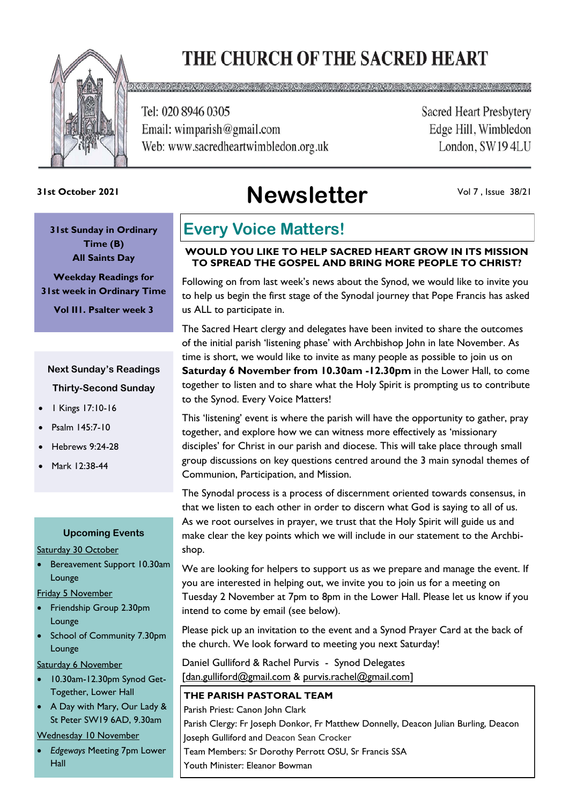# THE CHURCH OF THE SACRED HEART



Tel: 020 8946 0305 Email: wimparish@gmail.com Web: www.sacredheartwimbledon.org.uk **Sacred Heart Presbytery** Edge Hill, Wimbledon London, SW194LU

**Newsletter 31st October 2021**

Vol 7 , Issue 38/21

**31st Sunday in Ordinary Time (B) All Saints Day**

**Weekday Readings for 31st week in Ordinary Time Vol II1. Psalter week 3**

### **Next Sunday's Readings Thirty-Second Sunday**

- 1 Kings 17:10-16
- Psalm 145:7-10
- Hebrews 9:24-28
- Mark 12:38-44

### **Upcoming Events**

Saturday 30 October

• Bereavement Support 10.30am Lounge

Friday 5 November

- Friendship Group 2.30pm Lounge
- School of Community 7.30pm Lounge

Saturday 6 November

- 10.30am-12.30pm Synod Get-Together, Lower Hall
- A Day with Mary, Our Lady & St Peter SW19 6AD, 9.30am

### Wednesday 10 November

• *Edgeways* Meeting 7pm Lower Hall

## **Every Voice Matters!**

### **WOULD YOU LIKE TO HELP SACRED HEART GROW IN ITS MISSION TO SPREAD THE GOSPEL AND BRING MORE PEOPLE TO CHRIST?**

Following on from last week's news about the Synod, we would like to invite you to help us begin the first stage of the Synodal journey that Pope Francis has asked us ALL to participate in.

The Sacred Heart clergy and delegates have been invited to share the outcomes of the initial parish 'listening phase' with Archbishop John in late November. As time is short, we would like to invite as many people as possible to join us on **Saturday 6 November from 10.30am -12.30pm** in the Lower Hall, to come together to listen and to share what the Holy Spirit is prompting us to contribute to the Synod. Every Voice Matters!

This 'listening' event is where the parish will have the opportunity to gather, pray together, and explore how we can witness more effectively as 'missionary disciples' for Christ in our parish and diocese. This will take place through small group discussions on key questions centred around the 3 main synodal themes of Communion, Participation, and Mission.

The Synodal process is a process of discernment oriented towards consensus, in that we listen to each other in order to discern what God is saying to all of us. As we root ourselves in prayer, we trust that the Holy Spirit will guide us and make clear the key points which we will include in our statement to the Archbishop.

We are looking for helpers to support us as we prepare and manage the event. If you are interested in helping out, we invite you to join us for a meeting on Tuesday 2 November at 7pm to 8pm in the Lower Hall. Please let us know if you intend to come by email (see below).

Please pick up an invitation to the event and a Synod Prayer Card at the back of the church. We look forward to meeting you next Saturday!

Daniel Gulliford & Rachel Purvis - Synod Delegates [dan.gulliford@gmail.com & purvis.rachel@gmail.com]

### **THE PARISH PASTORAL TEAM**

Parish Priest: Canon John Clark Parish Clergy: Fr Joseph Donkor, Fr Matthew Donnelly, Deacon Julian Burling, Deacon Joseph Gulliford and Deacon Sean Crocker Team Members: Sr Dorothy Perrott OSU, Sr Francis SSA Youth Minister: Eleanor Bowman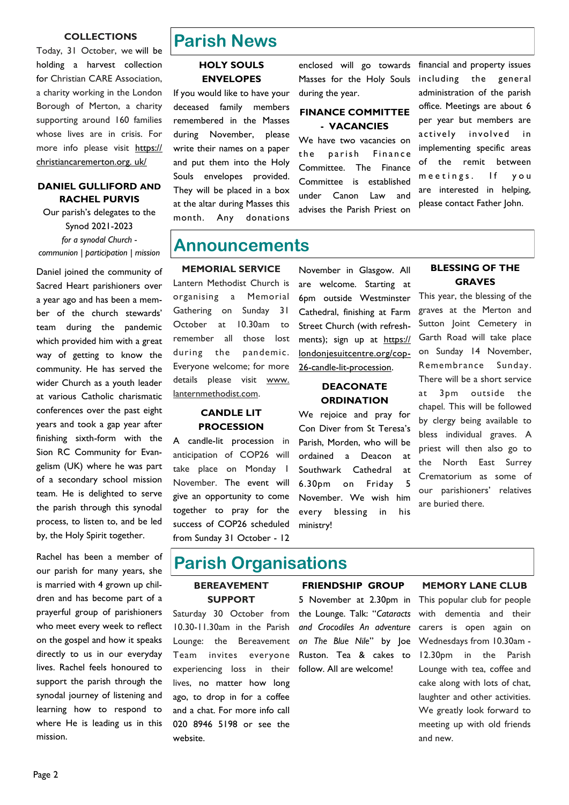#### **COLLECTIONS**

Today, 31 October, we will be holding a harvest collection for Christian CARE Association, a charity working in the London Borough of Merton, a charity supporting around 160 families whose lives are in crisis. For more info please visit [https://](https://christiancaremerton.org.uk/) [christiancaremerton.org. uk/](https://christiancaremerton.org.uk/)

### **DANIEL GULLIFORD AND RACHEL PURVIS**

Our parish's delegates to the Synod 2021-2023 *for a synodal Church communion | participation | mission*

Daniel joined the community of Sacred Heart parishioners over a year ago and has been a member of the church stewards' team during the pandemic which provided him with a great way of getting to know the community. He has served the wider Church as a youth leader at various Catholic charismatic conferences over the past eight years and took a gap year after finishing sixth-form with the Sion RC Community for Evangelism (UK) where he was part of a secondary school mission team. He is delighted to serve the parish through this synodal process, to listen to, and be led by, the Holy Spirit together.

Rachel has been a member of our parish for many years, she is married with 4 grown up children and has become part of a prayerful group of parishioners who meet every week to reflect on the gospel and how it speaks directly to us in our everyday lives. Rachel feels honoured to support the parish through the synodal journey of listening and learning how to respond to where He is leading us in this mission.

### **Parish News**

### **HOLY SOULS ENVELOPES**

If you would like to have your deceased family members remembered in the Masses during November, please write their names on a paper and put them into the Holy Souls envelopes provided. They will be placed in a box at the altar during Masses this month. Any donations

enclosed will go towards Masses for the Holy Souls during the year.

### **FINANCE COMMITTEE - VACANCIES**

We have two vacancies on the parish Finance Committee. The Finance Committee is established under Canon Law and advises the Parish Priest on

financial and property issues including the general administration of the parish office. Meetings are about 6 per year but members are actively involved in implementing specific areas of the remit between meetings. If you are interested in helping, please contact Father John.

### **Announcements**

**MEMORIAL SERVICE**

Lantern Methodist Church is organising a Memorial Gathering on Sunday 31 October at 10.30am to remember all those lost during the pandemic. Everyone welcome; for more details please visit www. lanternmethodist.com.

### **CANDLE LIT PROCESSION**

A candle-lit procession in anticipation of COP26 will take place on Monday 1 November. The event will give an opportunity to come together to pray for the success of COP26 scheduled from Sunday 31 October - 12

November in Glasgow. All are welcome. Starting at 6pm outside Westminster Cathedral, finishing at Farm Street Church (with refreshments); sign up at https:// londonjesuitcentre.org/cop-26-candle-lit-procession.

### **DEACONATE ORDINATION**

We rejoice and pray for Con Diver from St Teresa's Parish, Morden, who will be ordained a Deacon at Southwark Cathedral at 6.30pm on Friday 5 November. We wish him every blessing in his ministry!

#### **BLESSING OF THE GRAVES**

This year, the blessing of the graves at the Merton and Sutton Joint Cemetery in Garth Road will take place on Sunday 14 November, Remembrance Sunday. There will be a short service at 3pm outside the chapel. This will be followed by clergy being available to bless individual graves. A priest will then also go to the North East Surrey Crematorium as some of our parishioners' relatives are buried there.

### **Parish Organisations**

#### **BEREAVEMENT SUPPORT**

Saturday 30 October from 10.30-11.30am in the Parish Lounge: the Bereavement Team invites everyone experiencing loss in their lives, no matter how long ago, to drop in for a coffee and a chat. For more info call 020 8946 5198 or see the website.

### **FRIENDSHIP GROUP**

5 November at 2.30pm in the Lounge. Talk: "*Cataracts and Crocodiles An adventure on The Blue Nile*" by Joe Ruston. Tea & cakes to follow. All are welcome!

#### **MEMORY LANE CLUB**

This popular club for people with dementia and their carers is open again on Wednesdays from 10.30am - 12.30pm in the Parish Lounge with tea, coffee and cake along with lots of chat, laughter and other activities. We greatly look forward to meeting up with old friends and new.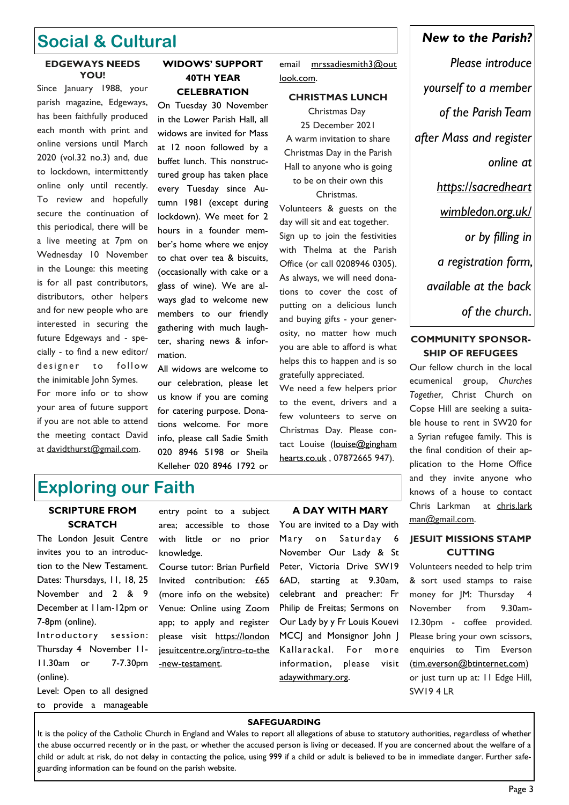### **Social & Cultural**

#### **EDGEWAYS NEEDS YOU!**

Since January 1988, your parish magazine, Edgeways, has been faithfully produced each month with print and online versions until March 2020 (vol.32 no.3) and, due to lockdown, intermittently online only until recently. To review and hopefully secure the continuation of this periodical, there will be a live meeting at 7pm on Wednesday 10 November in the Lounge: this meeting is for all past contributors, distributors, other helpers and for new people who are interested in securing the future Edgeways and - specially - to find a new editor/ designer to follow the inimitable John Symes. For more info or to show your area of future support if you are not able to attend the meeting contact David at davidthurst@gmail.com.

### **WIDOWS' SUPPORT 40TH YEAR CELEBRATION**

On Tuesday 30 November in the Lower Parish Hall, all widows are invited for Mass at 12 noon followed by a buffet lunch. This nonstructured group has taken place every Tuesday since Autumn 1981 (except during lockdown). We meet for 2 hours in a founder member's home where we enjoy to chat over tea & biscuits, (occasionally with cake or a glass of wine). We are always glad to welcome new members to our friendly gathering with much laughter, sharing news & information.

All widows are welcome to our celebration, please let us know if you are coming for catering purpose. Donations welcome. For more info, please call Sadie Smith 020 8946 5198 or Sheila Kelleher 020 8946 1792 or

email mrssadiesmith3@out look.com.

#### **CHRISTMAS LUNCH**

Christmas Day 25 December 2021 A warm invitation to share Christmas Day in the Parish Hall to anyone who is going to be on their own this Christmas.

Volunteers & guests on the day will sit and eat together. Sign up to join the festivities with Thelma at the Parish Office (or call 0208946 0305). As always, we will need donations to cover the cost of putting on a delicious lunch and buying gifts - your generosity, no matter how much you are able to afford is what helps this to happen and is so gratefully appreciated.

We need a few helpers prior to the event, drivers and a few volunteers to serve on Christmas Day. Please contact Louise (louise@gingham [hearts.co.uk](mailto:louise@ginghamhearts.co.uk) , 07872665 947).

*Please introduce yourself to a member of the Parish Team after Mass and register online at https://sacredheart wimbledon.org.uk/ or by filling in a registration form, available at the back of the church*.

*New to the Parish?* 

### **COMMUNITY SPONSOR-SHIP OF REFUGEES**

Our fellow church in the local ecumenical group, *Churches Together*, Christ Church on Copse Hill are seeking a suitable house to rent in SW20 for a Syrian refugee family. This is the final condition of their application to the Home Office and they invite anyone who knows of a house to contact Chris Larkman at chris.lark man@gmail.com.

### **JESUIT MISSIONS STAMP CUTTING**

Volunteers needed to help trim & sort used stamps to raise money for JM: Thursday 4 November from 9.30am-12.30pm - coffee provided. Please bring your own scissors, enquiries to Tim Everson ([tim.everson@btinternet.com\)](mailto:tim.everson@btinternet.com) or just turn up at: 11 Edge Hill, SW19 4 LR

**SAFEGUARDING**

It is the policy of the Catholic Church in England and Wales to report all allegations of abuse to statutory authorities, regardless of whether the abuse occurred recently or in the past, or whether the accused person is living or deceased. If you are concerned about the welfare of a child or adult at risk, do not delay in contacting the police, using 999 if a child or adult is believed to be in immediate danger. Further safeguarding information can be found on the parish website.

### **Exploring our Faith SCRIPTURE FROM**

### **SCRATCH**

The London Jesuit Centre invites you to an introduction to the New Testament. Dates: Thursdays, 11, 18, 25 November and 2 & 9 December at 11am-12pm or 7-8pm (online). Introductory session: Thursday 4 November 11- 11.30am or 7-7.30pm (online).

Level: Open to all designed to provide a manageable

entry point to a subject area; accessible to those with little or no prior knowledge.

Course tutor: Brian Purfield Invited contribution: £65 ([more info](https://corn-pug-ems8.squarespace.com/invited-contribution) on the website) Venue: Online using Zoom app; to apply and register please visit https://london [jesuitcentre.org/intro-to-the](https://londonjesuitcentre.org/intro-to-the-new-testament) [-new-testament.](https://londonjesuitcentre.org/intro-to-the-new-testament)

### **A DAY WITH MARY**

You are invited to a Day with Mary on Saturday 6 November Our Lady & St Peter, Victoria Drive SW19 6AD, starting at 9.30am, celebrant and preacher: Fr Philip de Freitas; Sermons on Our Lady by y Fr Louis Kouevi MCCJ and Monsignor John J Kallarackal. For more information, please visit adaywithmary.org.